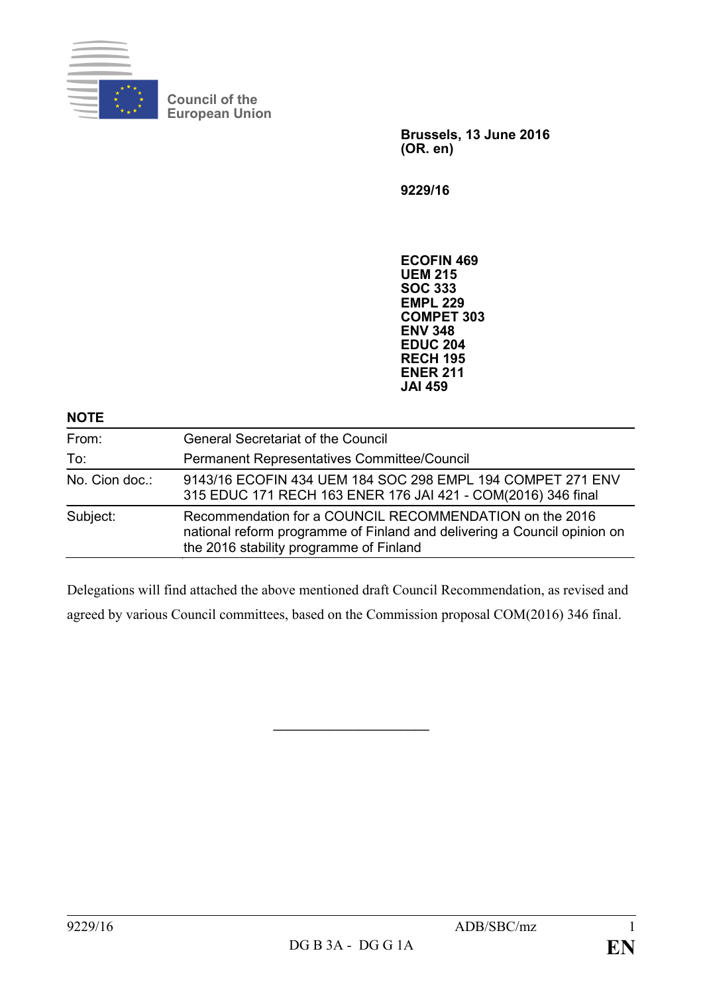

**Council of the European Union**

> **Brussels, 13 June 2016 (OR. en)**

**9229/16**

**ECOFIN 469 UEM 215 SOC 333 EMPL 229 COMPET 303 ENV 348 EDUC 204 RECH 195 ENER 211 JAI 459**

| From:          | <b>General Secretariat of the Council</b>                                                                                                                                      |
|----------------|--------------------------------------------------------------------------------------------------------------------------------------------------------------------------------|
| To:            | Permanent Representatives Committee/Council                                                                                                                                    |
| No. Cion doc.: | 9143/16 ECOFIN 434 UEM 184 SOC 298 EMPL 194 COMPET 271 ENV<br>315 EDUC 171 RECH 163 ENER 176 JAI 421 - COM(2016) 346 final                                                     |
| Subject:       | Recommendation for a COUNCIL RECOMMENDATION on the 2016<br>national reform programme of Finland and delivering a Council opinion on<br>the 2016 stability programme of Finland |

Delegations will find attached the above mentioned draft Council Recommendation, as revised and agreed by various Council committees, based on the Commission proposal COM(2016) 346 final.

**\_\_\_\_\_\_\_\_\_\_\_\_\_\_\_\_\_\_\_\_\_\_**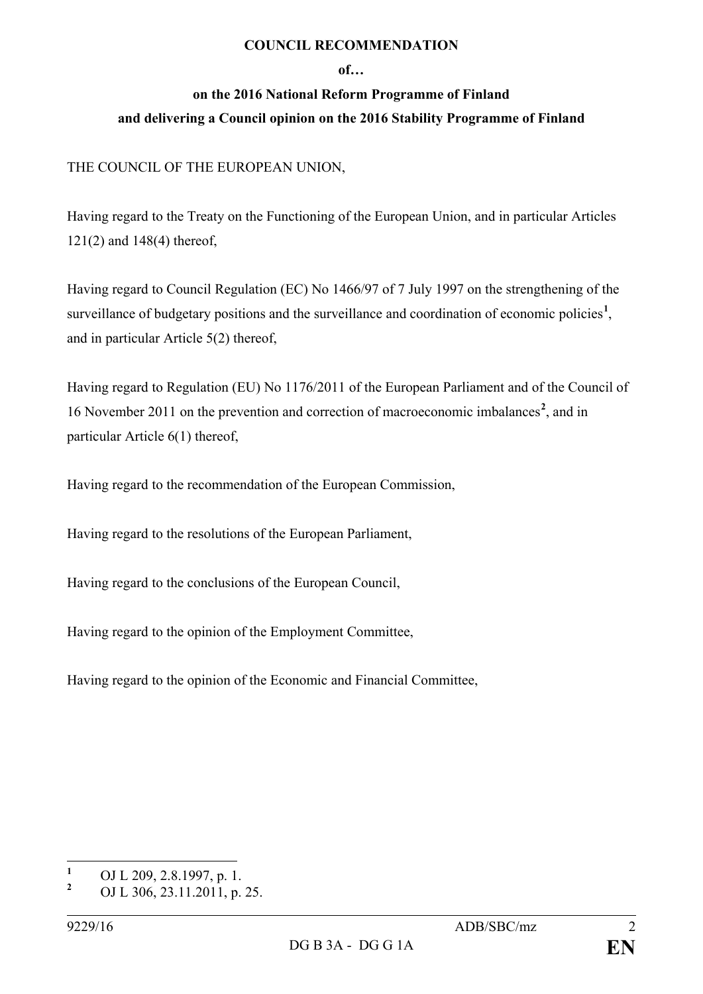### **COUNCIL RECOMMENDATION**

#### **of…**

# **on the 2016 National Reform Programme of Finland and delivering a Council opinion on the 2016 Stability Programme of Finland**

# THE COUNCIL OF THE EUROPEAN UNION,

Having regard to the Treaty on the Functioning of the European Union, and in particular Articles 121(2) and 148(4) thereof,

Having regard to Council Regulation (EC) No 1466/97 of 7 July 1997 on the strengthening of the surveillance of budgetary positions and the surveillance and coordination of economic policies<sup>[1](#page-1-0)</sup>, and in particular Article 5(2) thereof,

Having regard to Regulation (EU) No 1176/2011 of the European Parliament and of the Council of 16 November 2011 on the prevention and correction of macroeconomic imbalances**[2](#page-1-1)** , and in particular Article 6(1) thereof,

Having regard to the recommendation of the European Commission,

Having regard to the resolutions of the European Parliament,

Having regard to the conclusions of the European Council,

Having regard to the opinion of the Employment Committee,

Having regard to the opinion of the Economic and Financial Committee,

<span id="page-1-0"></span><sup>&</sup>lt;sup>1</sup> OJ L 209, 2.8.1997, p. 1.<br><sup>2</sup> OJ L 206, 22, 11, 2011.

<span id="page-1-1"></span>**<sup>2</sup>** OJ L 306, 23.11.2011, p. 25.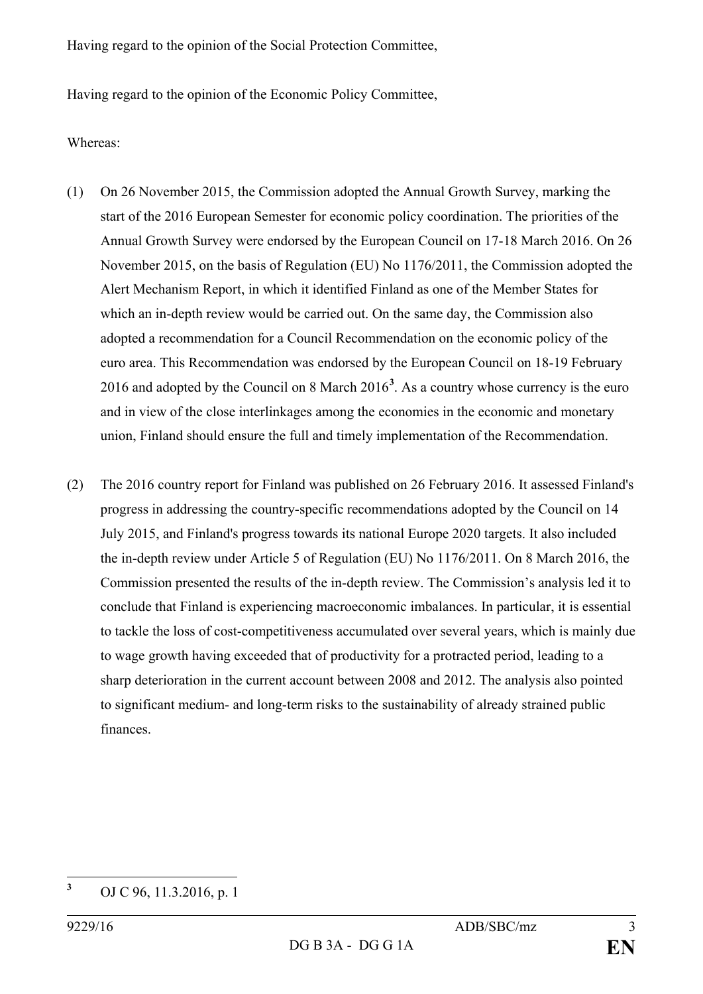Having regard to the opinion of the Social Protection Committee,

Having regard to the opinion of the Economic Policy Committee,

## Whereas:

- (1) On 26 November 2015, the Commission adopted the Annual Growth Survey, marking the start of the 2016 European Semester for economic policy coordination. The priorities of the Annual Growth Survey were endorsed by the European Council on 17-18 March 2016. On 26 November 2015, on the basis of Regulation (EU) No 1176/2011, the Commission adopted the Alert Mechanism Report, in which it identified Finland as one of the Member States for which an in-depth review would be carried out. On the same day, the Commission also adopted a recommendation for a Council Recommendation on the economic policy of the euro area. This Recommendation was endorsed by the European Council on 18-19 February 2016 and adopted by the Council on 8 March 2016**[3](#page-2-0)** . As a country whose currency is the euro and in view of the close interlinkages among the economies in the economic and monetary union, Finland should ensure the full and timely implementation of the Recommendation.
- (2) The 2016 country report for Finland was published on 26 February 2016. It assessed Finland's progress in addressing the country-specific recommendations adopted by the Council on 14 July 2015, and Finland's progress towards its national Europe 2020 targets. It also included the in-depth review under Article 5 of Regulation (EU) No 1176/2011. On 8 March 2016, the Commission presented the results of the in-depth review. The Commission's analysis led it to conclude that Finland is experiencing macroeconomic imbalances. In particular, it is essential to tackle the loss of cost-competitiveness accumulated over several years, which is mainly due to wage growth having exceeded that of productivity for a protracted period, leading to a sharp deterioration in the current account between 2008 and 2012. The analysis also pointed to significant medium- and long-term risks to the sustainability of already strained public finances.

<span id="page-2-0"></span>**<sup>3</sup>** OJ C 96, 11.3.2016, p. 1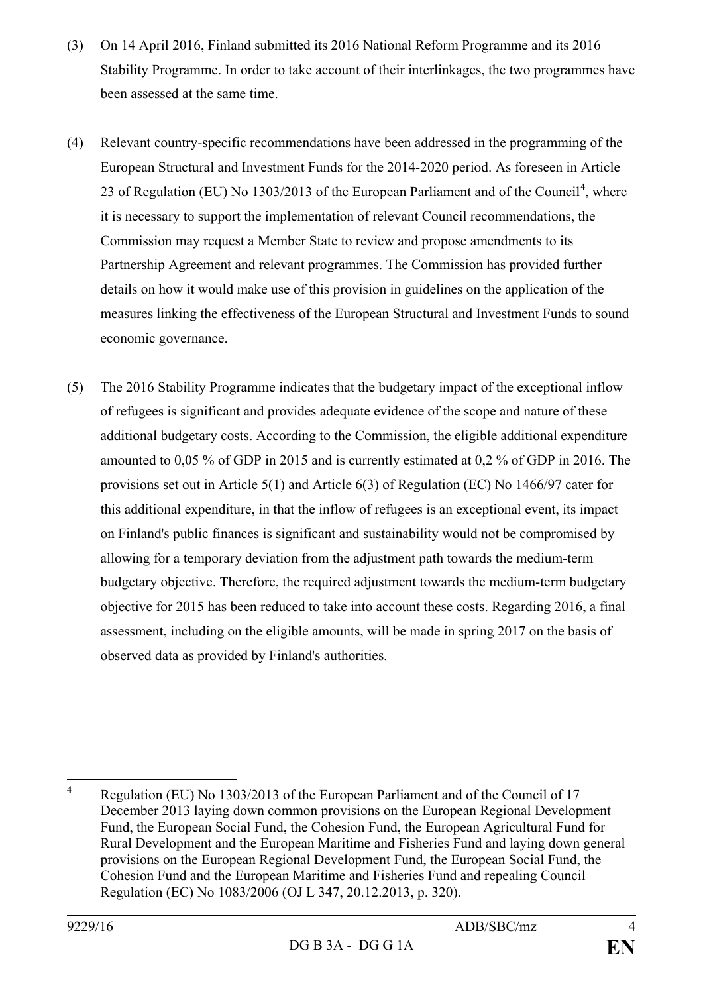- (3) On 14 April 2016, Finland submitted its 2016 National Reform Programme and its 2016 Stability Programme. In order to take account of their interlinkages, the two programmes have been assessed at the same time.
- (4) Relevant country-specific recommendations have been addressed in the programming of the European Structural and Investment Funds for the 2014-2020 period. As foreseen in Article 23 of Regulation (EU) No 1303/2013 of the European Parliament and of the Council**[4](#page-3-0)** , where it is necessary to support the implementation of relevant Council recommendations, the Commission may request a Member State to review and propose amendments to its Partnership Agreement and relevant programmes. The Commission has provided further details on how it would make use of this provision in guidelines on the application of the measures linking the effectiveness of the European Structural and Investment Funds to sound economic governance.
- (5) The 2016 Stability Programme indicates that the budgetary impact of the exceptional inflow of refugees is significant and provides adequate evidence of the scope and nature of these additional budgetary costs. According to the Commission, the eligible additional expenditure amounted to 0,05 % of GDP in 2015 and is currently estimated at 0,2 % of GDP in 2016. The provisions set out in Article 5(1) and Article 6(3) of Regulation (EC) No 1466/97 cater for this additional expenditure, in that the inflow of refugees is an exceptional event, its impact on Finland's public finances is significant and sustainability would not be compromised by allowing for a temporary deviation from the adjustment path towards the medium-term budgetary objective. Therefore, the required adjustment towards the medium-term budgetary objective for 2015 has been reduced to take into account these costs. Regarding 2016, a final assessment, including on the eligible amounts, will be made in spring 2017 on the basis of observed data as provided by Finland's authorities.

<span id="page-3-0"></span>**<sup>4</sup>** Regulation (EU) No 1303/2013 of the European Parliament and of the Council of 17 December 2013 laying down common provisions on the European Regional Development Fund, the European Social Fund, the Cohesion Fund, the European Agricultural Fund for Rural Development and the European Maritime and Fisheries Fund and laying down general provisions on the European Regional Development Fund, the European Social Fund, the Cohesion Fund and the European Maritime and Fisheries Fund and repealing Council Regulation (EC) No 1083/2006 (OJ L 347, 20.12.2013, p. 320).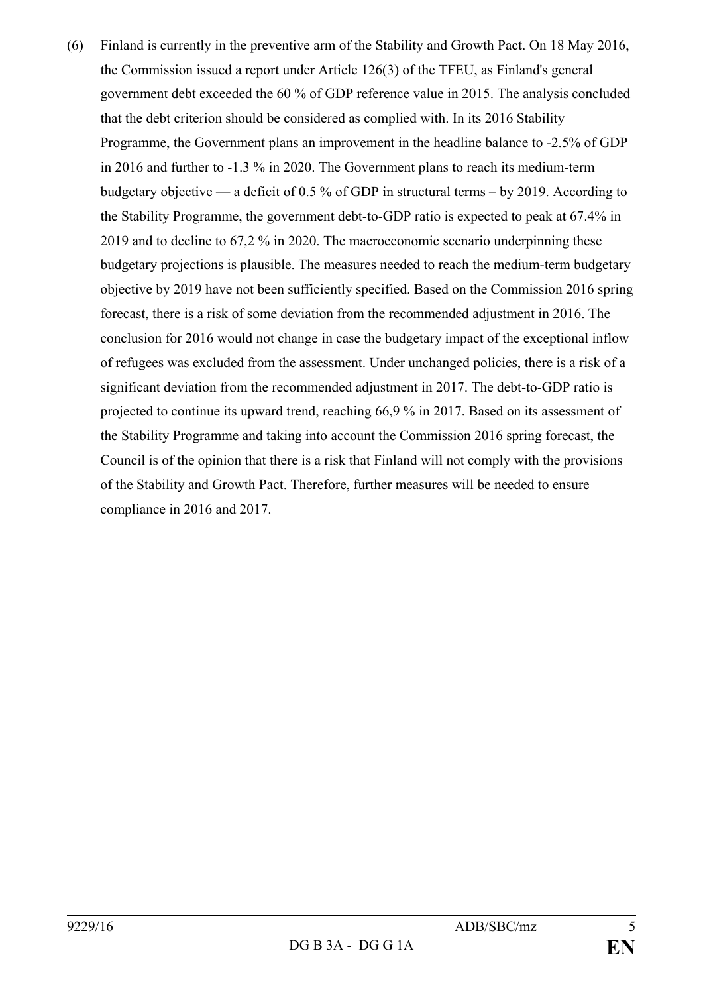(6) Finland is currently in the preventive arm of the Stability and Growth Pact. On 18 May 2016, the Commission issued a report under Article 126(3) of the TFEU, as Finland's general government debt exceeded the 60 % of GDP reference value in 2015. The analysis concluded that the debt criterion should be considered as complied with. In its 2016 Stability Programme, the Government plans an improvement in the headline balance to -2.5% of GDP in 2016 and further to -1.3 % in 2020. The Government plans to reach its medium-term budgetary objective — a deficit of 0.5 % of GDP in structural terms – by 2019. According to the Stability Programme, the government debt-to-GDP ratio is expected to peak at 67.4% in 2019 and to decline to 67,2 % in 2020. The macroeconomic scenario underpinning these budgetary projections is plausible. The measures needed to reach the medium-term budgetary objective by 2019 have not been sufficiently specified. Based on the Commission 2016 spring forecast, there is a risk of some deviation from the recommended adjustment in 2016. The conclusion for 2016 would not change in case the budgetary impact of the exceptional inflow of refugees was excluded from the assessment. Under unchanged policies, there is a risk of a significant deviation from the recommended adjustment in 2017. The debt-to-GDP ratio is projected to continue its upward trend, reaching 66,9 % in 2017. Based on its assessment of the Stability Programme and taking into account the Commission 2016 spring forecast, the Council is of the opinion that there is a risk that Finland will not comply with the provisions of the Stability and Growth Pact. Therefore, further measures will be needed to ensure compliance in 2016 and 2017.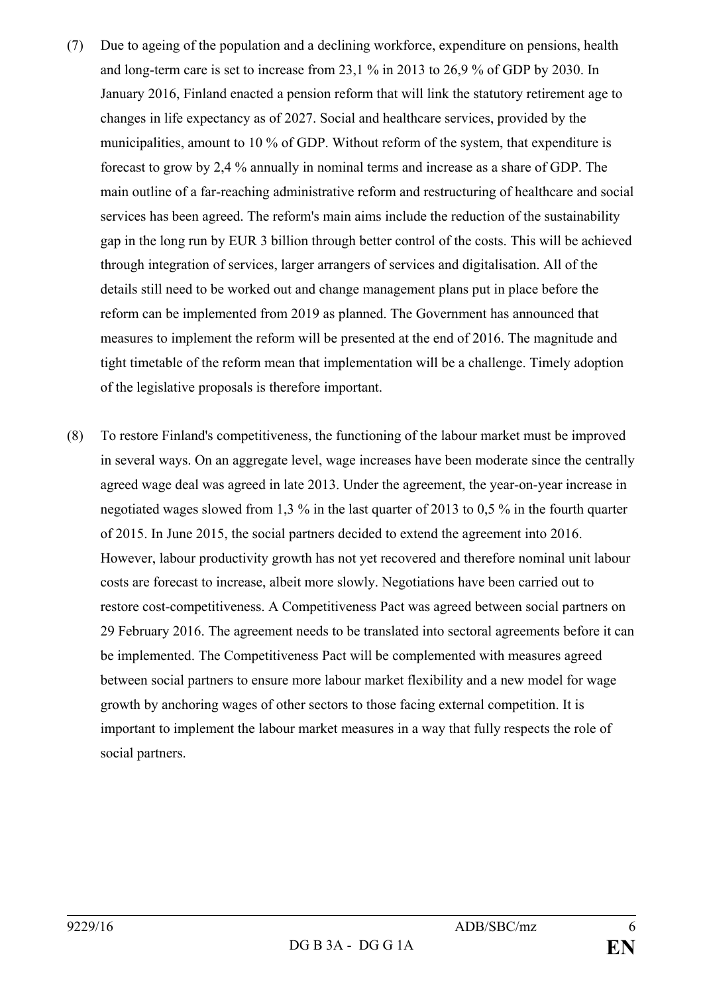- (7) Due to ageing of the population and a declining workforce, expenditure on pensions, health and long-term care is set to increase from 23,1 % in 2013 to 26,9 % of GDP by 2030. In January 2016, Finland enacted a pension reform that will link the statutory retirement age to changes in life expectancy as of 2027. Social and healthcare services, provided by the municipalities, amount to 10 % of GDP. Without reform of the system, that expenditure is forecast to grow by 2,4 % annually in nominal terms and increase as a share of GDP. The main outline of a far-reaching administrative reform and restructuring of healthcare and social services has been agreed. The reform's main aims include the reduction of the sustainability gap in the long run by EUR 3 billion through better control of the costs. This will be achieved through integration of services, larger arrangers of services and digitalisation. All of the details still need to be worked out and change management plans put in place before the reform can be implemented from 2019 as planned. The Government has announced that measures to implement the reform will be presented at the end of 2016. The magnitude and tight timetable of the reform mean that implementation will be a challenge. Timely adoption of the legislative proposals is therefore important.
- (8) To restore Finland's competitiveness, the functioning of the labour market must be improved in several ways. On an aggregate level, wage increases have been moderate since the centrally agreed wage deal was agreed in late 2013. Under the agreement, the year-on-year increase in negotiated wages slowed from 1,3 % in the last quarter of 2013 to 0,5 % in the fourth quarter of 2015. In June 2015, the social partners decided to extend the agreement into 2016. However, labour productivity growth has not yet recovered and therefore nominal unit labour costs are forecast to increase, albeit more slowly. Negotiations have been carried out to restore cost-competitiveness. A Competitiveness Pact was agreed between social partners on 29 February 2016. The agreement needs to be translated into sectoral agreements before it can be implemented. The Competitiveness Pact will be complemented with measures agreed between social partners to ensure more labour market flexibility and a new model for wage growth by anchoring wages of other sectors to those facing external competition. It is important to implement the labour market measures in a way that fully respects the role of social partners.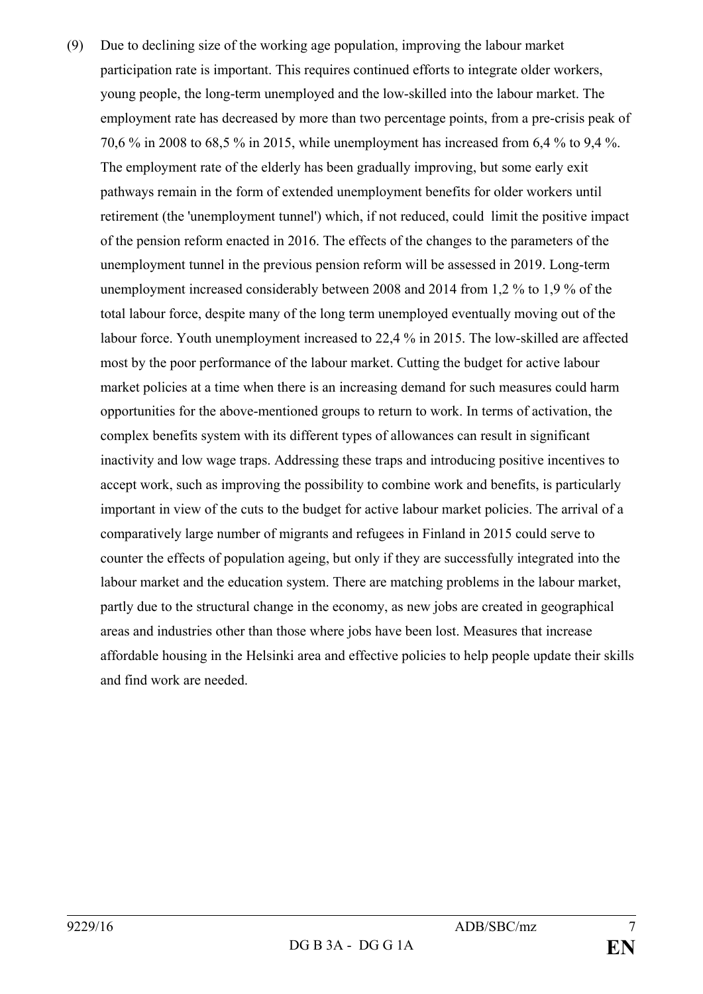(9) Due to declining size of the working age population, improving the labour market participation rate is important. This requires continued efforts to integrate older workers, young people, the long-term unemployed and the low-skilled into the labour market. The employment rate has decreased by more than two percentage points, from a pre-crisis peak of 70,6 % in 2008 to 68,5 % in 2015, while unemployment has increased from 6,4 % to 9,4 %. The employment rate of the elderly has been gradually improving, but some early exit pathways remain in the form of extended unemployment benefits for older workers until retirement (the 'unemployment tunnel') which, if not reduced, could limit the positive impact of the pension reform enacted in 2016. The effects of the changes to the parameters of the unemployment tunnel in the previous pension reform will be assessed in 2019. Long-term unemployment increased considerably between 2008 and 2014 from 1,2 % to 1,9 % of the total labour force, despite many of the long term unemployed eventually moving out of the labour force. Youth unemployment increased to 22,4 % in 2015. The low-skilled are affected most by the poor performance of the labour market. Cutting the budget for active labour market policies at a time when there is an increasing demand for such measures could harm opportunities for the above-mentioned groups to return to work. In terms of activation, the complex benefits system with its different types of allowances can result in significant inactivity and low wage traps. Addressing these traps and introducing positive incentives to accept work, such as improving the possibility to combine work and benefits, is particularly important in view of the cuts to the budget for active labour market policies. The arrival of a comparatively large number of migrants and refugees in Finland in 2015 could serve to counter the effects of population ageing, but only if they are successfully integrated into the labour market and the education system. There are matching problems in the labour market, partly due to the structural change in the economy, as new jobs are created in geographical areas and industries other than those where jobs have been lost. Measures that increase affordable housing in the Helsinki area and effective policies to help people update their skills and find work are needed.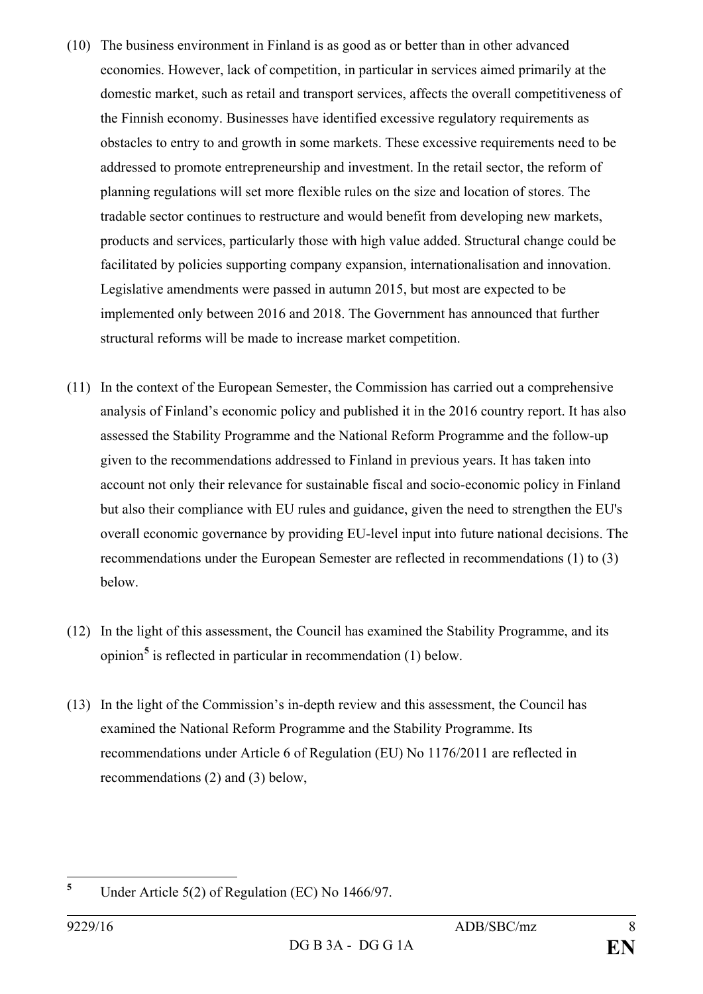- (10) The business environment in Finland is as good as or better than in other advanced economies. However, lack of competition, in particular in services aimed primarily at the domestic market, such as retail and transport services, affects the overall competitiveness of the Finnish economy. Businesses have identified excessive regulatory requirements as obstacles to entry to and growth in some markets. These excessive requirements need to be addressed to promote entrepreneurship and investment. In the retail sector, the reform of planning regulations will set more flexible rules on the size and location of stores. The tradable sector continues to restructure and would benefit from developing new markets, products and services, particularly those with high value added. Structural change could be facilitated by policies supporting company expansion, internationalisation and innovation. Legislative amendments were passed in autumn 2015, but most are expected to be implemented only between 2016 and 2018. The Government has announced that further structural reforms will be made to increase market competition.
- (11) In the context of the European Semester, the Commission has carried out a comprehensive analysis of Finland's economic policy and published it in the 2016 country report. It has also assessed the Stability Programme and the National Reform Programme and the follow-up given to the recommendations addressed to Finland in previous years. It has taken into account not only their relevance for sustainable fiscal and socio-economic policy in Finland but also their compliance with EU rules and guidance, given the need to strengthen the EU's overall economic governance by providing EU-level input into future national decisions. The recommendations under the European Semester are reflected in recommendations (1) to (3) below.
- (12) In the light of this assessment, the Council has examined the Stability Programme, and its opinion**[5](#page-7-0)** is reflected in particular in recommendation (1) below.
- (13) In the light of the Commission's in-depth review and this assessment, the Council has examined the National Reform Programme and the Stability Programme. Its recommendations under Article 6 of Regulation (EU) No 1176/2011 are reflected in recommendations (2) and (3) below,

<span id="page-7-0"></span>**<sup>5</sup>** Under Article 5(2) of Regulation (EC) No 1466/97.